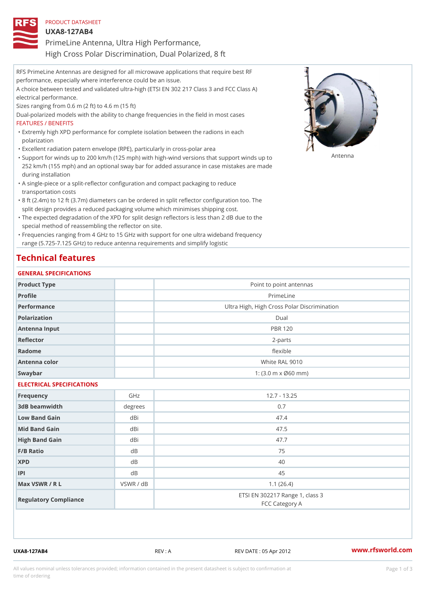| PRODUCT DATASHEET                                     |
|-------------------------------------------------------|
| U X A 8 - 1 2 7 A B 4                                 |
| PrimeLine Antenna, Ultra High Performance,            |
| High Cross Polar Discrimination, Dual Polarized, 8 ft |

RFS PrimeLine Antennas are designed for all microwave applications that require best RF performance, especially where interference could be an issue. A choice between tested and validated ultra-high (ETSI EN 302 217 Class 3 and FCC Class A) electrical performance. Sizes ranging from 0.6 m (2 ft) to 4.6 m (15 ft) Dual-polarized models with the ability to change frequencies in the field in most cases FEATURES / BENEFITS Extremly high XPD performance for complete isolation between the radions in each " polarization "Excellent radiation patern envelope (RPE), particularly in cross-polar area "Support for winds up to 200 km/h (125 mph) with high-wind versions that support for wands up to 252 km/h (155 mph) and an optional sway bar for added assurance in case mistakes are made during installation

- A single-piece or a split-reflector configuration and compact packaging to reduce " transportation costs
- 8 ft (2.4m) to 12 ft (3.7m) diameters can be ordered in split reflector configuration too. The " split design provides a reduced packaging volume which minimises shipping cost.
- "The expected degradation of the XPD for split design reflectors is less than 2 dB due to the special method of reassembling the reflector on site.

Frequencies ranging from 4 GHz to 15 GHz with support for one ultra wideband frequency " range (5.725-7.125 GHz) to reduce antenna requirements and simplify logistic

## Technical features

#### GENERAL SPECIFICATIONS

| Product Type              |                | Point to point antennas                                 |  |  |
|---------------------------|----------------|---------------------------------------------------------|--|--|
| Profile                   |                | PrimeLine                                               |  |  |
| Performance               |                | Ultra High, High Cross Polar Discrimination             |  |  |
| Polarization              | Dual           |                                                         |  |  |
| Antenna Input             | <b>PBR 120</b> |                                                         |  |  |
| Reflector                 | $2 - p$ arts   |                                                         |  |  |
| Radome                    |                | flexible                                                |  |  |
| Antenna color             |                | White RAL 9010                                          |  |  |
| Swaybar                   |                | 1: $(3.0 \, \text{m} \times \emptyset 60 \, \text{mm})$ |  |  |
| ELECTRICAL SPECIFICATIONS |                |                                                         |  |  |
| Frequency                 | GHz            | $12.7 - 13.25$                                          |  |  |
| 3dB beamwidth             | degrees        | 0.7                                                     |  |  |
| Low Band Gain             | dBi            | 47.4                                                    |  |  |
| Mid Band Gain             | dBi            | 47.5                                                    |  |  |
| High Band Gain            | dBi            | 47.7                                                    |  |  |
| $F/B$ Ratio               | d B            | 75                                                      |  |  |
| <b>XPD</b>                | d B            | 40                                                      |  |  |
| P                         | d B            | 45                                                      |  |  |
| Max VSWR / R L            | VSWR / dB      | 1.1(26.4)                                               |  |  |
| Regulatory Compliance     |                | ETSI EN 302217 Range 1, class 3<br>FCC Category A       |  |  |

UXA8-127AB4 REV : A REV DATE : 05 Apr 2012 [www.](https://www.rfsworld.com)rfsworld.com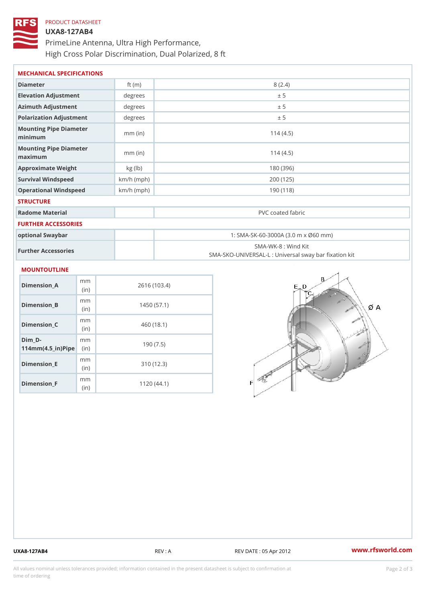# PRODUCT DATASHEET UXA8-127AB4 PrimeLine Antenna, Ultra High Performance, High Cross Polar Discrimination, Dual Polarized, 8 ft

| MECHANICAL SPECIFICATIONS                     |              |                                                                          |  |
|-----------------------------------------------|--------------|--------------------------------------------------------------------------|--|
| Diameter                                      | ft $(m)$     | 8(2.4)                                                                   |  |
| Elevation Adjustment                          | degree:      | ± 5                                                                      |  |
| Azimuth Adjustment                            | degree:      | ± 5                                                                      |  |
| Polarization Adjustment                       | $degree$ :   | ± 5                                                                      |  |
| Mounting Pipe Diameter<br>minimum             | $mm$ (in)    | 114(4.5)                                                                 |  |
| Mounting Pipe Diameter<br>$m$ a x i $m$ u $m$ | $mm$ (in)    | 114(4.5)                                                                 |  |
| Approximate Weight                            | kg(lb)       | 180 (396)                                                                |  |
| Survival Windspeed                            | $km/h$ (mph) | 200 (125)                                                                |  |
| Operational Windspeed                         | $km/h$ (mph) | 190 (118)                                                                |  |
| <b>STRUCTURE</b>                              |              |                                                                          |  |
| Radome Material                               |              | PVC coated fabric                                                        |  |
| FURTHER ACCESSORIES                           |              |                                                                          |  |
| optional Swaybar                              |              | 1: SMA-SK-60-3000A (3.0 m x Ø60 mm)                                      |  |
| Further Accessories                           |              | SMA-WK-8 : Wind Kit<br>SMA-SKO-UNIVERSAL-L : Universal sway bar fixation |  |
| MOUNTOUTLINE                                  |              |                                                                          |  |
| m <sub>m</sub><br>$Dimension_A$<br>(i n       |              | 2616 (103.4)                                                             |  |
| m m<br>Dimension_B<br>(i n)                   |              | 1450(57.1)                                                               |  |

| $D$ imension $B$                                                      | (in)                     | 1450 (57.1) |
|-----------------------------------------------------------------------|--------------------------|-------------|
| Dimension_C                                                           | m m<br>(i <sub>n</sub> ) | 460 (18.1)  |
| Dim D-<br>$114$ m m $(4.5$ $-$ i r $)$ $\mathbb{R}$ ii p $\mathbb{R}$ | m m                      | 190(7.5)    |
| Dimension_E                                                           | m m<br>(i n)             | 310 (12.3)  |
| $Dimension_F$                                                         | m m<br>(i n)             | 1120(44.1)  |

UXA8-127AB4 REV : A REV DATE : 05 Apr 2012 [www.](https://www.rfsworld.com)rfsworld.com